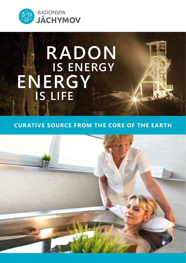

# **RADON ENERGY IS ENERGY IS LIFE**

## **CURATIVE SOURCE FROM THE CORE OF THE EARTH**

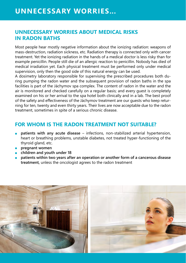## **UNNECESSARY WORRIES ABOUT MEDICAL RISKS IN RADON BATHS**

Most people hear mostly negative information about the ionizing radiation: weapons of mass-destruction, radiation sickness, etc. Radiation therapy is connected only with cancer treatment. Yet the ionizing radiation in the hands of a medical doctor is less risky than for example penicillin. People still die of an allergic reaction to penicillin. Nobody has died of medical irradiation yet. Each physical treatment must be performed only under medical supervision, only then the good side of this natural energy can be used.

A dosimetry laboratory responsible for supervising the prescribed procedures both during pumping the radon water and the subsequent provision of radon baths in the spa facilities is part of the Jáchymov spa complex. The content of radon in the water and the air is monitored and checked carefully on a regular basis; and every guest is completely examined on his or her arrival to the spa hotel both clinically and in a lab. The best proof of the safety and effectiveness of the Jáchymov treatment are our guests who keep returning for ten, twenty and even thirty years. Their lives are now acceptable due to the radon treatment, sometimes in spite of a serious chronic disease.

## **FOR WHOM IS THE RADON TREATMENT NOT SUITABLE?**

- **patients with any acute disease**  infections, non-stabilized arterial hypertension, heart or breathing problems, unstable diabetes, not treated hyper-functioning of the thyroid gland, etc.
- **pregnant women**
- **children and youth under 18**
- **patients within two years after an operation or another form of a cancerous disease treatment,** unless the oncologist agrees to the radon treatment

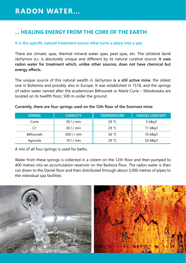## **... HEALING ENERGY FROM THE CORE OF THE EARTH**

#### **It is the specific natural treatment source what turns a place into a spa.**

There are climatic spas, thermal mineral water spas, peat spas, etc. The Léčebné lázně Jáchymov a.s. is absolutely unique and different by its natural curative source. **It uses radon water for treatment which, unlike other sources, does not have chemical but energy effects.**

The unique source of this natural wealth in Jáchymov **is a still active mine**, the oldest one in Bohemia and possibly also in Europe. It was established in 1518, and the springs of radon water named after the academician Běhounek or Marie Curie – Skłodowska are located on its twelfth floor, 500 m under the ground.

| <b>SPRING</b> | <b>CAPACITY</b> | <b>TEMPERATURE</b> | <b>RADON CONTENT</b> |
|---------------|-----------------|--------------------|----------------------|
| Curie         | 301/min         | 29 °C              | 5 kBg/l              |
| C1            | 301/min         | 29 °C              | $11$ kBg/l           |
| Běhounek      | $300$   / min   | 36 $°C$            | $10$ kBq/l           |
| Agricola      | 101/min         | 29 °C              | 20 kBg/l             |

**Currently, there are four springs used on the 12th floor of the Svornost mine:**

A mix of all four springs is used for baths.

Water from these springs is collected in a cistern on the 12th floor and then pumped to 400 metres into an accumulation reservoir on the Barbora floor. The radon water is then run down to the Daniel floor and then distributed through about 3,000 metres of pipes to the individual spa facilities.

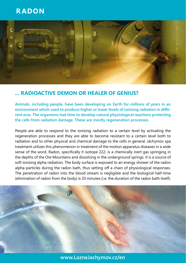# **RADON**



## **... RADIOACTIVE DEMON OR HEALER OF GENIUS?**

**Animals, including people, have been developing on Earth for millions of years in an environment which used to produce higher or lower levels of ionizing radiation in different eras. The organisms had time to develop natural physiological reactions protecting the cells from radiation damage. These are mostly regeneration processes.**

People are able to respond to the ionizing radiation to a certain level by activating the regeneration processes and they are able to become resistant to a certain level both to radiation and to other physical and chemical damage to the cells in general. Jáchymov spa treatment utilizes this phenomenon in treatment of the motion apparatus diseases in a wide sense of the word. Radon, specifically it isotope 222, is a chemically inert gas springing in the depths of the Ore Mountains and dissolving in the underground springs. It is a source of soft ionizing alpha radiation. The body surface is exposed to an energy shower of the radon alpha-particles during the radon bath, thus setting off a chain of physiological responses. The penetration of radon into the blood stream is negligible and the biological half-time (elimination of radon from the body) is 20 minutes (i.e. the duration of the radon bath itself).



**www.LazneJachymov.cz/en**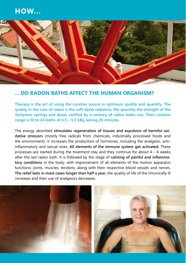## **HOW...**



### **... DO RADON BATHS AFFECT THE HUMAN ORGANISM?**

**Therapy is the art of using the curative source in optimum quality and quantity. The quality in the case of radon is the soft alpha radiation, the quantity the strength of the Jáchymov springs and doses verified by a century of radon baths use. Their curative range is 10 to 24 baths of 4.5 – 5.5 kBq lasting 20 minutes.**

The energy absorbed **stimulates regeneration of tissues and expulsion of harmful oxidative stressors** (mostly free radicals from chemicals, industrially processed foods and the environment). It increases the production of hormones, including the analgesic, antiinflammatory and sexual ones. **All elements of the immune system get activated.** These processes are started during the treatment stay and they continue for about  $4 - 6$  weeks after the last radon bath. It is followed by the stage of **calming of painful and inflammatory conditions** in the body, with improvement of all elements of the motion apparatus functions: joints, muscles, tendons, along with their respective blood vessels and nerves. **The relief lasts in most cases longer than half a year**, the quality of life of the chronically ill increases and their use of analgesics decreases.